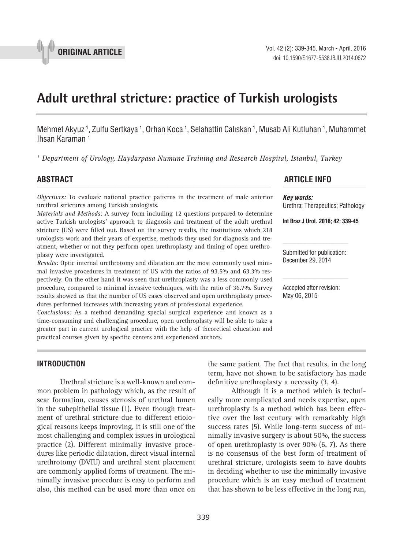

# **Adult urethral stricture: practice of Turkish urologists \_\_\_\_\_\_\_\_\_\_\_\_\_\_\_\_\_\_\_\_\_\_\_\_\_\_\_\_\_\_\_\_\_\_\_\_\_\_\_\_\_\_\_\_\_\_\_**

Mehmet Akyuz <sup>1</sup>, Zulfu Sertkaya <sup>1</sup>, Orhan Koca <sup>1</sup>, Selahattin Calıskan <sup>1</sup>, Musab Ali Kutluhan <sup>1</sup>, Muhammet Ihsan Karaman 1

*1 Department of Urology, Haydarpasa Numune Training and Research Hospital, Istanbul, Turkey*

*Objectives:* To evaluate national practice patterns in the treatment of male anterior urethral strictures among Turkish urologists.

*Materials and Methods:* A survey form including 12 questions prepared to determine active Turkish urologists' approach to diagnosis and treatment of the adult urethral stricture (US) were filled out. Based on the survey results, the institutions which 218 urologists work and their years of expertise, methods they used for diagnosis and treatment, whether or not they perform open urethroplasty and timing of open urethroplasty were investigated.

*Results:* Optic internal urethrotomy and dilatation are the most commonly used minimal invasive procedures in treatment of US with the ratios of 93.5% and 63.3% respectively. On the other hand it was seen that urethroplasty was a less commonly used procedure, compared to minimal invasive techniques, with the ratio of 36.7%. Survey results showed us that the number of US cases observed and open urethroplasty procedures performed increases with increasing years of professional experience.

*Conclusions:* As a method demanding special surgical experience and known as a time-consuming and challenging procedure, open urethroplasty will be able to take a greater part in current urological practice with the help of theoretical education and practical courses given by specific centers and experienced authors.

# **ABSTRACT ARTICLE INFO** *\_\_\_\_\_\_\_\_\_\_\_\_\_\_\_\_\_\_\_\_\_\_\_\_\_\_\_\_\_\_\_\_\_\_\_\_\_\_\_\_\_\_\_\_\_\_\_\_\_\_\_\_\_\_\_\_\_\_\_\_\_\_ \_\_\_\_\_\_\_\_\_\_\_\_\_\_\_\_\_\_\_\_\_\_*

*Key words:* Urethra; Therapeutics; Pathology

**Int Braz J Urol. 2016; 42: 339-45**

Submitted for publication: December 29, 2014

Accepted after revision: May 06, 2015

# **INTRODUCTION**

Urethral stricture is a well-known and common problem in pathology which, as the result of scar formation, causes stenosis of urethral lumen in the subepithelial tissue (1). Even though treatment of urethral stricture due to different etiological reasons keeps improving, it is still one of the most challenging and complex issues in urological practice (2). Different minimally invasive procedures like periodic dilatation, direct visual internal urethrotomy (DVIU) and urethral stent placement are commonly applied forms of treatment. The minimally invasive procedure is easy to perform and also, this method can be used more than once on the same patient. The fact that results, in the long term, have not shown to be satisfactory has made definitive urethroplasty a necessity (3, 4).

Although it is a method which is technically more complicated and needs expertise, open urethroplasty is a method which has been effective over the last century with remarkably high success rates (5). While long-term success of minimally invasive surgery is about 50%, the success of open urethroplasty is over 90% (6, 7). As there is no consensus of the best form of treatment of urethral stricture, urologists seem to have doubts in deciding whether to use the minimally invasive procedure which is an easy method of treatment that has shown to be less effective in the long run,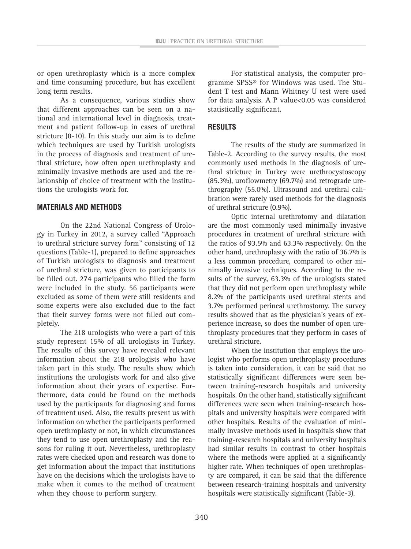or open urethroplasty which is a more complex and time consuming procedure, but has excellent long term results.

As a consequence, various studies show that different approaches can be seen on a national and international level in diagnosis, treatment and patient follow-up in cases of urethral stricture (8-10). In this study our aim is to define which techniques are used by Turkish urologists in the process of diagnosis and treatment of urethral stricture, how often open urethroplasty and minimally invasive methods are used and the relationship of choice of treatment with the institutions the urologists work for.

## **MATERIALS AND METHODS**

On the 22nd National Congress of Urology in Turkey in 2012, a survey called "Approach to urethral stricture survey form" consisting of 12 questions (Table-1), prepared to define approaches of Turkish urologists to diagnosis and treatment of urethral stricture, was given to participants to be filled out. 274 participants who filled the form were included in the study. 56 participants were excluded as some of them were still residents and some experts were also excluded due to the fact that their survey forms were not filled out completely.

The 218 urologists who were a part of this study represent 15% of all urologists in Turkey. The results of this survey have revealed relevant information about the 218 urologists who have taken part in this study. The results show which institutions the urologists work for and also give information about their years of expertise. Furthermore, data could be found on the methods used by the participants for diagnosing and forms of treatment used. Also, the results present us with information on whether the participants performed open urethroplasty or not, in which circumstances they tend to use open urethroplasty and the reasons for ruling it out. Nevertheless, urethroplasty rates were checked upon and research was done to get information about the impact that institutions have on the decisions which the urologists have to make when it comes to the method of treatment when they choose to perform surgery.

For statistical analysis, the computer programme SPSS® for Windows was used. The Student T test and Mann Whitney U test were used for data analysis. A P value<0.05 was considered statistically significant.

# **RESULTS**

The results of the study are summarized in Table-2. According to the survey results, the most commonly used methods in the diagnosis of urethral stricture in Turkey were urethrocystoscopy (85.3%), uroflowmetry (69.7%) and retrograde urethrography (55.0%). Ultrasound and urethral calibration were rarely used methods for the diagnosis of urethral stricture (0.9%).

Optic internal urethrotomy and dilatation are the most commonly used minimally invasive procedures in treatment of urethral stricture with the ratios of 93.5% and 63.3% respectively. On the other hand, urethroplasty with the ratio of 36.7% is a less common procedure, compared to other minimally invasive techniques. According to the results of the survey, 63.3% of the urologists stated that they did not perform open urethroplasty while 8.2% of the participants used urethral stents and 3.7% performed perineal urethrostomy. The survey results showed that as the physician's years of experience increase, so does the number of open urethroplasty procedures that they perform in cases of urethral stricture.

When the institution that employs the urologist who performs open urethroplasty procedures is taken into consideration, it can be said that no statistically significant differences were seen between training-research hospitals and university hospitals. On the other hand, statistically significant differences were seen when training-research hospitals and university hospitals were compared with other hospitals. Results of the evaluation of minimally invasive methods used in hospitals show that training-research hospitals and university hospitals had similar results in contrast to other hospitals where the methods were applied at a significantly higher rate. When techniques of open urethroplasty are compared, it can be said that the difference between research-training hospitals and university hospitals were statistically significant (Table-3).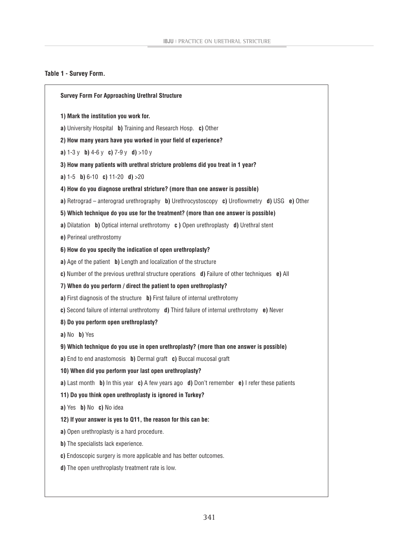# **Table 1 - Survey Form.**

|                          | <b>Survey Form For Approaching Urethral Structure</b>                                                               |
|--------------------------|---------------------------------------------------------------------------------------------------------------------|
|                          | 1) Mark the institution you work for.                                                                               |
|                          | a) University Hospital b) Training and Research Hosp. c) Other                                                      |
|                          | 2) How many years have you worked in your field of experience?                                                      |
|                          | <b>a)</b> $1-3y$ <b>b)</b> $4-6y$ <b>c)</b> $7-9y$ <b>d)</b> $>10y$                                                 |
|                          | 3) How many patients with urethral stricture problems did you treat in 1 year?                                      |
|                          | <b>a)</b> 1-5 <b>b)</b> 6-10 <b>c)</b> 11-20 <b>d)</b> >20                                                          |
|                          | 4) How do you diagnose urethral stricture? (more than one answer is possible)                                       |
|                          | a) Retrograd – anterograd urethrography b) Urethrocystoscopy c) Uroflowmetry d) USG e) Other                        |
|                          | 5) Which technique do you use for the treatment? (more than one answer is possible)                                 |
|                          | a) Dilatation b) Optical internal urethrotomy c) Open urethroplasty d) Urethral stent                               |
| e) Perineal urethrostomy |                                                                                                                     |
|                          | 6) How do you specify the indication of open urethroplasty?                                                         |
|                          | a) Age of the patient b) Length and localization of the structure                                                   |
|                          | c) Number of the previous urethral structure operations $\mathbf d$ ) Failure of other techniques $\mathbf e$ ) All |
|                          | 7) When do you perform / direct the patient to open urethroplasty?                                                  |
|                          | a) First diagnosis of the structure b) First failure of internal urethrotomy                                        |
|                          | c) Second failure of internal urethrotomy d) Third failure of internal urethrotomy e) Never                         |
|                          | 8) Do you perform open urethroplasty?                                                                               |
| a) No b) Yes             |                                                                                                                     |
|                          | 9) Which technique do you use in open urethroplasty? (more than one answer is possible)                             |
|                          | a) End to end anastomosis b) Dermal graft c) Buccal mucosal graft                                                   |
|                          | 10) When did you perform your last open urethroplasty?                                                              |
|                          | a) Last month b) In this year c) A few years ago d) Don't remember e) I refer these patients                        |
|                          | 11) Do you think open urethroplasty is ignored in Turkey?                                                           |
| a) Yes b) No c) No idea  |                                                                                                                     |
|                          | 12) If your answer is yes to Q11, the reason for this can be:                                                       |
|                          | a) Open urethroplasty is a hard procedure.                                                                          |
|                          | b) The specialists lack experience.                                                                                 |
|                          | c) Endoscopic surgery is more applicable and has better outcomes.                                                   |
|                          | d) The open urethroplasty treatment rate is low.                                                                    |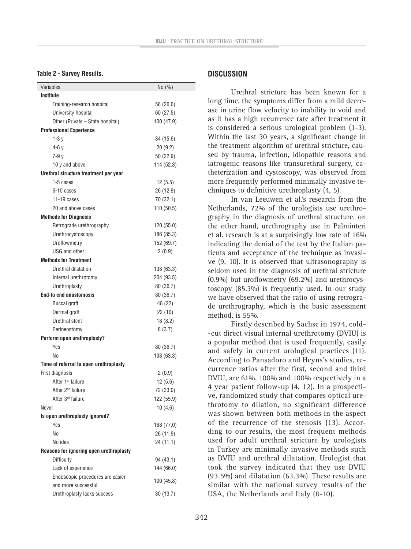### **Table 2 - Survey Results.**

| <b>Institute</b><br>Training-research hospital<br>58 (26.6)<br>University hospital<br>60 (27.5)<br>Other (Private – State hospital)<br>100 (47.9)<br><b>Professional Experience</b><br>$1-3y$<br>34 (15.6)<br>$4-6v$<br>20(9.2)<br>$7-9y$<br>50 (22.9)<br>10 y and above<br>114 (52.3)<br>Urethral structure treatment per year<br>1-5 cases<br>12(5.5)<br>6-10 cases<br>26 (12.9)<br>11-19 cases<br>70 (32.1)<br>20 and above cases<br>110 (50.5)<br><b>Methods for Diagnosis</b><br>Retrograde urethrography<br>120 (55.0)<br>Urethrocystoscopy<br>186 (85.3)<br>Uroflowmetry<br>152 (69.7)<br>USG and other<br>2(0.9)<br><b>Methods for Treatment</b><br>Urethral dilatation<br>138 (63.3)<br>Internal urethrotomy<br>204 (93.5)<br>Urethroplasty<br>80 (36.7)<br><b>End-to end anostomosis</b><br>80 (36.7)<br><b>Buccal graft</b><br>48 (22)<br>Dermal graft<br>22(10)<br>Urethral stent<br>18(8.2)<br>Perineostomy<br>8(3.7)<br>Perform open urethroplasty?<br>Yes<br>80 (36.7)<br>No<br>138 (63.3)<br>Time of referral to open urethroplasty<br>First diagnosis<br>2(0.9)<br>After 1 <sup>st</sup> failure<br>12(5.6)<br>After 2 <sup>nd</sup> failure<br>72 (33.0)<br>After 3 <sup>rd</sup> failure<br>122 (55.9)<br>10(4.6)<br>Never<br>Is open urethroplasty ignored?<br>Yes<br>168 (77.0)<br>No<br>26 (11.9)<br>No idea<br>24 (11.1)<br>Reasons for ignoring open urethroplasty<br>Difficulty<br>94 (43.1)<br>Lack of experience<br>144 (66.0)<br>Endoscopic procedures are easier<br>100 (45.8)<br>and more successful | Variables                   | No (%)   |  |  |  |  |  |
|------------------------------------------------------------------------------------------------------------------------------------------------------------------------------------------------------------------------------------------------------------------------------------------------------------------------------------------------------------------------------------------------------------------------------------------------------------------------------------------------------------------------------------------------------------------------------------------------------------------------------------------------------------------------------------------------------------------------------------------------------------------------------------------------------------------------------------------------------------------------------------------------------------------------------------------------------------------------------------------------------------------------------------------------------------------------------------------------------------------------------------------------------------------------------------------------------------------------------------------------------------------------------------------------------------------------------------------------------------------------------------------------------------------------------------------------------------------------------------------------------------------------------------|-----------------------------|----------|--|--|--|--|--|
|                                                                                                                                                                                                                                                                                                                                                                                                                                                                                                                                                                                                                                                                                                                                                                                                                                                                                                                                                                                                                                                                                                                                                                                                                                                                                                                                                                                                                                                                                                                                    |                             |          |  |  |  |  |  |
|                                                                                                                                                                                                                                                                                                                                                                                                                                                                                                                                                                                                                                                                                                                                                                                                                                                                                                                                                                                                                                                                                                                                                                                                                                                                                                                                                                                                                                                                                                                                    |                             |          |  |  |  |  |  |
|                                                                                                                                                                                                                                                                                                                                                                                                                                                                                                                                                                                                                                                                                                                                                                                                                                                                                                                                                                                                                                                                                                                                                                                                                                                                                                                                                                                                                                                                                                                                    |                             |          |  |  |  |  |  |
|                                                                                                                                                                                                                                                                                                                                                                                                                                                                                                                                                                                                                                                                                                                                                                                                                                                                                                                                                                                                                                                                                                                                                                                                                                                                                                                                                                                                                                                                                                                                    |                             |          |  |  |  |  |  |
|                                                                                                                                                                                                                                                                                                                                                                                                                                                                                                                                                                                                                                                                                                                                                                                                                                                                                                                                                                                                                                                                                                                                                                                                                                                                                                                                                                                                                                                                                                                                    |                             |          |  |  |  |  |  |
|                                                                                                                                                                                                                                                                                                                                                                                                                                                                                                                                                                                                                                                                                                                                                                                                                                                                                                                                                                                                                                                                                                                                                                                                                                                                                                                                                                                                                                                                                                                                    |                             |          |  |  |  |  |  |
|                                                                                                                                                                                                                                                                                                                                                                                                                                                                                                                                                                                                                                                                                                                                                                                                                                                                                                                                                                                                                                                                                                                                                                                                                                                                                                                                                                                                                                                                                                                                    |                             |          |  |  |  |  |  |
|                                                                                                                                                                                                                                                                                                                                                                                                                                                                                                                                                                                                                                                                                                                                                                                                                                                                                                                                                                                                                                                                                                                                                                                                                                                                                                                                                                                                                                                                                                                                    |                             |          |  |  |  |  |  |
|                                                                                                                                                                                                                                                                                                                                                                                                                                                                                                                                                                                                                                                                                                                                                                                                                                                                                                                                                                                                                                                                                                                                                                                                                                                                                                                                                                                                                                                                                                                                    |                             |          |  |  |  |  |  |
|                                                                                                                                                                                                                                                                                                                                                                                                                                                                                                                                                                                                                                                                                                                                                                                                                                                                                                                                                                                                                                                                                                                                                                                                                                                                                                                                                                                                                                                                                                                                    |                             |          |  |  |  |  |  |
|                                                                                                                                                                                                                                                                                                                                                                                                                                                                                                                                                                                                                                                                                                                                                                                                                                                                                                                                                                                                                                                                                                                                                                                                                                                                                                                                                                                                                                                                                                                                    |                             |          |  |  |  |  |  |
|                                                                                                                                                                                                                                                                                                                                                                                                                                                                                                                                                                                                                                                                                                                                                                                                                                                                                                                                                                                                                                                                                                                                                                                                                                                                                                                                                                                                                                                                                                                                    |                             |          |  |  |  |  |  |
|                                                                                                                                                                                                                                                                                                                                                                                                                                                                                                                                                                                                                                                                                                                                                                                                                                                                                                                                                                                                                                                                                                                                                                                                                                                                                                                                                                                                                                                                                                                                    |                             |          |  |  |  |  |  |
|                                                                                                                                                                                                                                                                                                                                                                                                                                                                                                                                                                                                                                                                                                                                                                                                                                                                                                                                                                                                                                                                                                                                                                                                                                                                                                                                                                                                                                                                                                                                    |                             |          |  |  |  |  |  |
|                                                                                                                                                                                                                                                                                                                                                                                                                                                                                                                                                                                                                                                                                                                                                                                                                                                                                                                                                                                                                                                                                                                                                                                                                                                                                                                                                                                                                                                                                                                                    |                             |          |  |  |  |  |  |
|                                                                                                                                                                                                                                                                                                                                                                                                                                                                                                                                                                                                                                                                                                                                                                                                                                                                                                                                                                                                                                                                                                                                                                                                                                                                                                                                                                                                                                                                                                                                    |                             |          |  |  |  |  |  |
|                                                                                                                                                                                                                                                                                                                                                                                                                                                                                                                                                                                                                                                                                                                                                                                                                                                                                                                                                                                                                                                                                                                                                                                                                                                                                                                                                                                                                                                                                                                                    |                             |          |  |  |  |  |  |
|                                                                                                                                                                                                                                                                                                                                                                                                                                                                                                                                                                                                                                                                                                                                                                                                                                                                                                                                                                                                                                                                                                                                                                                                                                                                                                                                                                                                                                                                                                                                    |                             |          |  |  |  |  |  |
|                                                                                                                                                                                                                                                                                                                                                                                                                                                                                                                                                                                                                                                                                                                                                                                                                                                                                                                                                                                                                                                                                                                                                                                                                                                                                                                                                                                                                                                                                                                                    |                             |          |  |  |  |  |  |
|                                                                                                                                                                                                                                                                                                                                                                                                                                                                                                                                                                                                                                                                                                                                                                                                                                                                                                                                                                                                                                                                                                                                                                                                                                                                                                                                                                                                                                                                                                                                    |                             |          |  |  |  |  |  |
|                                                                                                                                                                                                                                                                                                                                                                                                                                                                                                                                                                                                                                                                                                                                                                                                                                                                                                                                                                                                                                                                                                                                                                                                                                                                                                                                                                                                                                                                                                                                    |                             |          |  |  |  |  |  |
|                                                                                                                                                                                                                                                                                                                                                                                                                                                                                                                                                                                                                                                                                                                                                                                                                                                                                                                                                                                                                                                                                                                                                                                                                                                                                                                                                                                                                                                                                                                                    |                             |          |  |  |  |  |  |
|                                                                                                                                                                                                                                                                                                                                                                                                                                                                                                                                                                                                                                                                                                                                                                                                                                                                                                                                                                                                                                                                                                                                                                                                                                                                                                                                                                                                                                                                                                                                    |                             |          |  |  |  |  |  |
|                                                                                                                                                                                                                                                                                                                                                                                                                                                                                                                                                                                                                                                                                                                                                                                                                                                                                                                                                                                                                                                                                                                                                                                                                                                                                                                                                                                                                                                                                                                                    |                             |          |  |  |  |  |  |
|                                                                                                                                                                                                                                                                                                                                                                                                                                                                                                                                                                                                                                                                                                                                                                                                                                                                                                                                                                                                                                                                                                                                                                                                                                                                                                                                                                                                                                                                                                                                    |                             |          |  |  |  |  |  |
|                                                                                                                                                                                                                                                                                                                                                                                                                                                                                                                                                                                                                                                                                                                                                                                                                                                                                                                                                                                                                                                                                                                                                                                                                                                                                                                                                                                                                                                                                                                                    |                             |          |  |  |  |  |  |
|                                                                                                                                                                                                                                                                                                                                                                                                                                                                                                                                                                                                                                                                                                                                                                                                                                                                                                                                                                                                                                                                                                                                                                                                                                                                                                                                                                                                                                                                                                                                    |                             |          |  |  |  |  |  |
|                                                                                                                                                                                                                                                                                                                                                                                                                                                                                                                                                                                                                                                                                                                                                                                                                                                                                                                                                                                                                                                                                                                                                                                                                                                                                                                                                                                                                                                                                                                                    |                             |          |  |  |  |  |  |
|                                                                                                                                                                                                                                                                                                                                                                                                                                                                                                                                                                                                                                                                                                                                                                                                                                                                                                                                                                                                                                                                                                                                                                                                                                                                                                                                                                                                                                                                                                                                    |                             |          |  |  |  |  |  |
|                                                                                                                                                                                                                                                                                                                                                                                                                                                                                                                                                                                                                                                                                                                                                                                                                                                                                                                                                                                                                                                                                                                                                                                                                                                                                                                                                                                                                                                                                                                                    |                             |          |  |  |  |  |  |
|                                                                                                                                                                                                                                                                                                                                                                                                                                                                                                                                                                                                                                                                                                                                                                                                                                                                                                                                                                                                                                                                                                                                                                                                                                                                                                                                                                                                                                                                                                                                    |                             |          |  |  |  |  |  |
|                                                                                                                                                                                                                                                                                                                                                                                                                                                                                                                                                                                                                                                                                                                                                                                                                                                                                                                                                                                                                                                                                                                                                                                                                                                                                                                                                                                                                                                                                                                                    |                             |          |  |  |  |  |  |
|                                                                                                                                                                                                                                                                                                                                                                                                                                                                                                                                                                                                                                                                                                                                                                                                                                                                                                                                                                                                                                                                                                                                                                                                                                                                                                                                                                                                                                                                                                                                    |                             |          |  |  |  |  |  |
|                                                                                                                                                                                                                                                                                                                                                                                                                                                                                                                                                                                                                                                                                                                                                                                                                                                                                                                                                                                                                                                                                                                                                                                                                                                                                                                                                                                                                                                                                                                                    |                             |          |  |  |  |  |  |
|                                                                                                                                                                                                                                                                                                                                                                                                                                                                                                                                                                                                                                                                                                                                                                                                                                                                                                                                                                                                                                                                                                                                                                                                                                                                                                                                                                                                                                                                                                                                    |                             |          |  |  |  |  |  |
|                                                                                                                                                                                                                                                                                                                                                                                                                                                                                                                                                                                                                                                                                                                                                                                                                                                                                                                                                                                                                                                                                                                                                                                                                                                                                                                                                                                                                                                                                                                                    |                             |          |  |  |  |  |  |
|                                                                                                                                                                                                                                                                                                                                                                                                                                                                                                                                                                                                                                                                                                                                                                                                                                                                                                                                                                                                                                                                                                                                                                                                                                                                                                                                                                                                                                                                                                                                    |                             |          |  |  |  |  |  |
|                                                                                                                                                                                                                                                                                                                                                                                                                                                                                                                                                                                                                                                                                                                                                                                                                                                                                                                                                                                                                                                                                                                                                                                                                                                                                                                                                                                                                                                                                                                                    |                             |          |  |  |  |  |  |
|                                                                                                                                                                                                                                                                                                                                                                                                                                                                                                                                                                                                                                                                                                                                                                                                                                                                                                                                                                                                                                                                                                                                                                                                                                                                                                                                                                                                                                                                                                                                    |                             |          |  |  |  |  |  |
|                                                                                                                                                                                                                                                                                                                                                                                                                                                                                                                                                                                                                                                                                                                                                                                                                                                                                                                                                                                                                                                                                                                                                                                                                                                                                                                                                                                                                                                                                                                                    |                             |          |  |  |  |  |  |
|                                                                                                                                                                                                                                                                                                                                                                                                                                                                                                                                                                                                                                                                                                                                                                                                                                                                                                                                                                                                                                                                                                                                                                                                                                                                                                                                                                                                                                                                                                                                    |                             |          |  |  |  |  |  |
|                                                                                                                                                                                                                                                                                                                                                                                                                                                                                                                                                                                                                                                                                                                                                                                                                                                                                                                                                                                                                                                                                                                                                                                                                                                                                                                                                                                                                                                                                                                                    |                             |          |  |  |  |  |  |
|                                                                                                                                                                                                                                                                                                                                                                                                                                                                                                                                                                                                                                                                                                                                                                                                                                                                                                                                                                                                                                                                                                                                                                                                                                                                                                                                                                                                                                                                                                                                    |                             |          |  |  |  |  |  |
|                                                                                                                                                                                                                                                                                                                                                                                                                                                                                                                                                                                                                                                                                                                                                                                                                                                                                                                                                                                                                                                                                                                                                                                                                                                                                                                                                                                                                                                                                                                                    |                             |          |  |  |  |  |  |
|                                                                                                                                                                                                                                                                                                                                                                                                                                                                                                                                                                                                                                                                                                                                                                                                                                                                                                                                                                                                                                                                                                                                                                                                                                                                                                                                                                                                                                                                                                                                    |                             |          |  |  |  |  |  |
|                                                                                                                                                                                                                                                                                                                                                                                                                                                                                                                                                                                                                                                                                                                                                                                                                                                                                                                                                                                                                                                                                                                                                                                                                                                                                                                                                                                                                                                                                                                                    | Urethroplasty lacks success | 30(13.7) |  |  |  |  |  |

# **DISCUSSION**

Urethral stricture has been known for a long time, the symptoms differ from a mild decrease in urine flow velocity to inability to void and as it has a high recurrence rate after treatment it is considered a serious urological problem (1-3). Within the last 30 years, a significant change in the treatment algorithm of urethral stricture, caused by trauma, infection, idiopathic reasons and iatrogenic reasons like transurethral surgery, catheterization and cystoscopy, was observed from more frequently performed minimally invasive techniques to definitive urethroplasty (4, 5).

In van Leeuwen et al.'s research from the Netherlands, 72% of the urologists use urethrography in the diagnosis of urethral structure, on the other hand, urethrography use in Palminteri et al. research is at a surprisingly low rate of 16% indicating the denial of the test by the Italian patients and acceptance of the technique as invasive (9, 10). It is observed that ultrasonography is seldom used in the diagnosis of urethral stricture (0.9%) but uroflowmetry (69.2%) and urethrocystoscopy (85.3%) is frequently used. In our study we have observed that the ratio of using retrograde urethrography, which is the basic assessment method, is 55%.

Firstly described by Sachse in 1974, cold- -cut direct visual internal urethrotomy (DVIU) is a popular method that is used frequently, easily and safely in current urological practices (11). According to Pansadoro and Heyns's studies, recurrence ratios after the first, second and third DVIU, are 61%, 100% and 100% respectively in a 4 year patient follow-up (4, 12). In a prospective, randomized study that compares optical urethrotomy to dilation, no significant difference was shown between both methods in the aspect of the recurrence of the stenosis (13). According to our results, the most frequent methods used for adult urethral stricture by urologists in Turkey are minimally invasive methods such as DVIU and urethral dilatation. Urologist that took the survey indicated that they use DVIU (93.5%) and dilatation (63.3%). These results are similar with the national survey results of the USA, the Netherlands and Italy (8-10).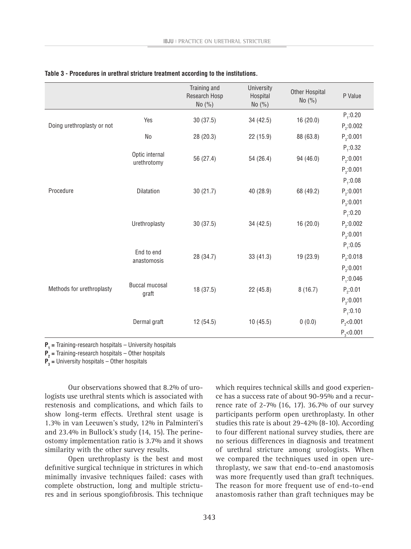|                            |                                | Training and<br>Research Hosp<br>No $(\% )$ | University<br>Hospital<br>No $(\% )$ | <b>Other Hospital</b><br>No $(\% )$ | P Value        |
|----------------------------|--------------------------------|---------------------------------------------|--------------------------------------|-------------------------------------|----------------|
|                            | Yes                            | 30(37.5)                                    | 34(42.5)                             | 16 (20.0)                           | $P_1:0.20$     |
| Doing urethroplasty or not |                                |                                             |                                      |                                     | $P_2:0.002$    |
|                            | N <sub>0</sub>                 | 28 (20.3)                                   | 22 (15.9)                            | 88 (63.8)                           | $P_3:0.001$    |
|                            | Optic internal<br>urethrotomy  | 56 (27.4)                                   | 54 (26.4)                            | 94 (46.0)                           | $P_1:0.32$     |
|                            |                                |                                             |                                      |                                     | $P_2:0.001$    |
|                            |                                |                                             |                                      |                                     | $P_{3}:0.001$  |
|                            | Dilatation                     | 30(21.7)                                    | 40 (28.9)                            | 68 (49.2)                           | $P_1:0.08$     |
| Procedure                  |                                |                                             |                                      |                                     | $P_2:0.001$    |
|                            |                                |                                             |                                      |                                     | $P_{3}:0.001$  |
|                            | Urethroplasty                  | 30(37.5)                                    | 34 (42.5)                            | 16(20.0)                            | $P_1:0.20$     |
|                            |                                |                                             |                                      |                                     | $P_2:0.002$    |
|                            |                                |                                             |                                      |                                     | $P_{3}:0.001$  |
|                            | End to end<br>anastomosis      | 28 (34.7)                                   | 33(41.3)                             | 19 (23.9)                           | $P_1:0.05$     |
|                            |                                |                                             |                                      |                                     | $P_2$ :0.018   |
|                            |                                |                                             |                                      |                                     | $P_3:0.001$    |
|                            | <b>Buccal mucosal</b><br>graft | 18 (37.5)                                   | 22(45.8)                             | 8(16.7)                             | $P_1:0.046$    |
| Methods for urethroplasty  |                                |                                             |                                      |                                     | $P_{2}:0.01$   |
|                            |                                |                                             |                                      |                                     | $P_{3}:0.001$  |
|                            | Dermal graft                   | 12 (54.5)                                   | 10(45.5)                             | 0(0.0)                              | $P_1:0.10$     |
|                            |                                |                                             |                                      |                                     | $P_{2}$ <0.001 |
|                            |                                |                                             |                                      |                                     | $P_{3}$ <0.001 |

#### **Table 3 - Procedures in urethral stricture treatment according to the institutions.**

**P<sub>1</sub>** = Training-research hospitals – University hospitals

**P2 =** Training-research hospitals – Other hospitals

**P3 =** University hospitals – Other hospitals

Our observations showed that 8.2% of urologists use urethral stents which is associated with restenosis and complications, and which fails to show long-term effects. Urethral stent usage is 1.3% in van Leeuwen's study, 12% in Palminteri's and 23.4% in Bullock's study (14, 15). The perineostomy implementation ratio is 3.7% and it shows similarity with the other survey results.

Open urethroplasty is the best and most definitive surgical technique in strictures in which minimally invasive techniques failed: cases with complete obstruction, long and multiple strictures and in serious spongiofibrosis. This technique which requires technical skills and good experience has a success rate of about 90-95% and a recurrence rate of 2-7% (16, 17). 36.7% of our survey participants perform open urethroplasty. In other studies this rate is about 29-42% (8-10). According to four different national survey studies, there are no serious differences in diagnosis and treatment of urethral stricture among urologists. When we compared the techniques used in open urethroplasty, we saw that end-to-end anastomosis was more frequently used than graft techniques. The reason for more frequent use of end-to-end anastomosis rather than graft techniques may be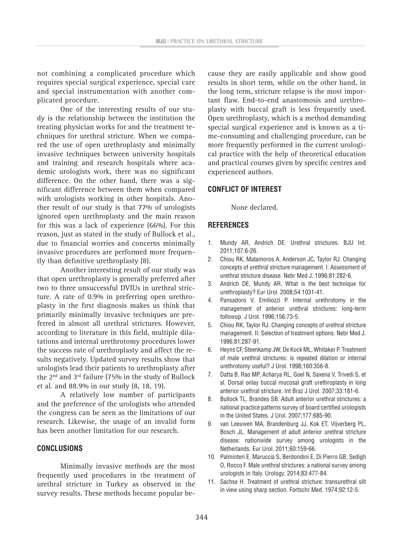not combining a complicated procedure which requires special surgical experience, special care and special instrumentation with another complicated procedure.

One of the interesting results of our study is the relationship between the institution the treating physician works for and the treatment techniques for urethral stricture. When we compared the use of open urethroplasty and minimally invasive techniques between university hospitals and training and research hospitals where academic urologists work, there was no significant difference. On the other hand, there was a significant difference between them when compared with urologists working in other hospitals. Another result of our study is that 77% of urologists ignored open urethroplasty and the main reason for this was a lack of experience (66%). For this reason, just as stated in the study of Bullock et al., due to financial worries and concerns minimally invasive procedures are performed more frequently than definitive urethroplasty (8).

Another interesting result of our study was that open urethroplasty is generally preferred after two to three unsuccessful DVIUs in urethral stricture. A rate of 0.9% in preferring open urethroplasty in the first diagnosis makes us think that primarily minimally invasive techniques are preferred in almost all urethral strictures. However, according to literature in this field, multiple dilatations and internal urethrotomy procedures lower the success rate of urethroplasty and affect the results negatively. Updated survey results show that urologists lead their patients to urethroplasty after the  $2<sup>nd</sup>$  and  $3<sup>rd</sup>$  failure (75% in the study of Bullock et al. and 88.9% in our study (8, 18, 19).

A relatively low number of participants and the preference of the urologists who attended the congress can be seen as the limitations of our research. Likewise, the usage of an invalid form has been another limitation for our research.

## **CONCLUSIONS**

Minimally invasive methods are the most frequently used procedures in the treatment of urethral stricture in Turkey as observed in the survey results. These methods became popular because they are easily applicable and show good results in short term, while on the other hand, in the long term, stricture relapse is the most important flaw. End-to-end anastomosis and urethroplasty with buccal graft is less frequently used. Open urethroplasty, which is a method demanding special surgical experience and is known as a time-consuming and challenging procedure, can be more frequently performed in the current urological practice with the help of theoretical education and practical courses given by specific centres and experienced authors.

# **CONFLICT OF INTEREST**

None declared.

# **REFERENCES**

- 1. Mundy AR, Andrich DE. Urethral strictures. BJU Int. 2011;107:6-26.
- 2. Chiou RK, Matamoros A, Anderson JC, Taylor RJ. Changing concepts of urethral stricture management. I: Assessment of urethral stricture disease. Nebr Med J. 1996;81:282-6.
- 3. Andrich DE, Mundy AR. What is the best technique for urethroplasty? Eur Urol. 2008;54:1031-41.
- 4. Pansadoro V, Emiliozzi P. Internal urethrotomy in the management of anterior urethral strictures: long-term followup. J Urol. 1996;156:73-5.
- 5. Chiou RK, Taylor RJ. Changing concepts of urethral stricture management. II: Selection of treatment options. Nebr Med J. 1996;81:287-91.
- 6. Heyns CF, Steenkamp JW, De Kock ML, Whitaker P. Treatment of male urethral strictures: is repeated dilation or internal urethrotomy useful? J Urol. 1998;160:356-8.
- 7. Datta B, Rao MP, Acharya RL, Goel N, Saxena V, Trivedi S, et al. Dorsal onlay buccal mucosal graft urethroplasty in long anterior urethral stricture. Int Braz J Urol. 2007;33:181-6.
- 8. Bullock TL, Brandes SB. Adult anterior urethral strictures: a national practice patterns survey of board certified urologists in the United States. J Urol. 2007;177:685-90.
- 9. van Leeuwen MA, Brandenburg JJ, Kok ET, Vijverberg PL, Bosch JL. Management of adult anterior urethral stricture disease: nationwide survey among urologists in the Netherlands. Eur Urol. 2011;60:159-66.
- 10. Palminteri E, Maruccia S, Berdondini E, Di Pierro GB, Sedigh O, Rocco F. Male urethral strictures: a national survey among urologists in Italy. Urology. 2014;83:477-84.
- 11. Sachse H. Treatment of urethral stricture: transurethral slit in view using sharp section. Fortschr Med. 1974;92:12-5.